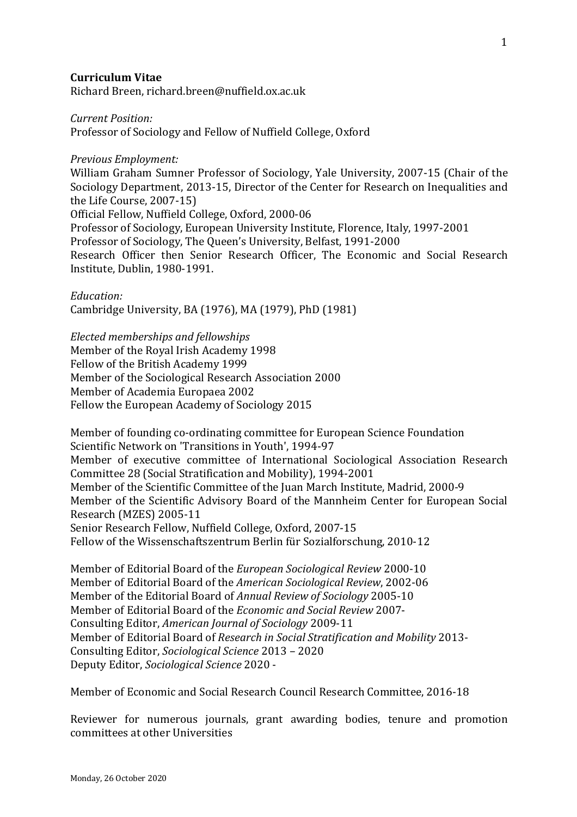#### **Curriculum Vitae**

Richard Breen, richard.breen@nuffield.ox.ac.uk

#### *Current Position:*

Professor of Sociology and Fellow of Nuffield College, Oxford

#### *Previous Employment:*

William Graham Sumner Professor of Sociology, Yale University, 2007-15 (Chair of the Sociology Department, 2013-15, Director of the Center for Research on Inequalities and the Life Course, 2007-15) Official Fellow, Nuffield College, Oxford, 2000-06

Professor of Sociology, European University Institute, Florence, Italy, 1997-2001

Professor of Sociology, The Queen's University, Belfast, 1991-2000

Research Officer then Senior Research Officer, The Economic and Social Research Institute, Dublin, 1980-1991.

#### *Education:*

Cambridge University, BA (1976), MA (1979), PhD (1981)

#### *Elected memberships and fellowships*

Member of the Royal Irish Academy 1998 Fellow of the British Academy 1999 Member of the Sociological Research Association 2000 Member of Academia Europaea 2002 Fellow the European Academy of Sociology 2015

Member of founding co-ordinating committee for European Science Foundation Scientific Network on 'Transitions in Youth', 1994-97 Member of executive committee of International Sociological Association Research Committee 28 (Social Stratification and Mobility), 1994-2001 Member of the Scientific Committee of the Juan March Institute, Madrid, 2000-9 Member of the Scientific Advisory Board of the Mannheim Center for European Social Research (MZES) 2005-11 Senior Research Fellow, Nuffield College, Oxford, 2007-15 Fellow of the Wissenschaftszentrum Berlin für Sozialforschung, 2010-12

Member of Editorial Board of the *European Sociological Review* 2000-10 Member of Editorial Board of the *American Sociological Review*, 2002-06 Member of the Editorial Board of *Annual Review of Sociology* 2005-10 Member of Editorial Board of the *Economic and Social Review* 2007- Consulting Editor, *American Journal of Sociology* 2009-11 Member of Editorial Board of *Research in Social Stratification and Mobility* 2013-Consulting Editor, *Sociological Science* 2013 – 2020 Deputy Editor, *Sociological Science* 2020 -

Member of Economic and Social Research Council Research Committee, 2016-18

Reviewer for numerous journals, grant awarding bodies, tenure and promotion committees at other Universities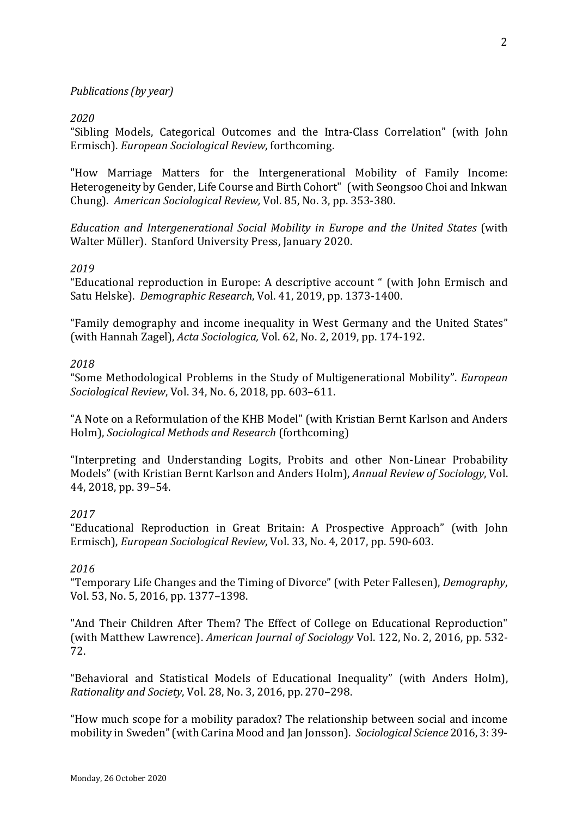# *Publications* (*by year*)

## *2020*

"Sibling Models, Categorical Outcomes and the Intra-Class Correlation" (with John Ermisch). *European Sociological Review*, forthcoming.

"How Marriage Matters for the Intergenerational Mobility of Family Income: Heterogeneity by Gender, Life Course and Birth Cohort" (with Seongsoo Choi and Inkwan Chung). *American Sociological Review,* Vol. 85, No. 3, pp. 353-380.

*Education and Intergenerational Social Mobility in Europe and the United States* (with Walter Müller). Stanford University Press, January 2020.

## *2019*

"Educational reproduction in Europe: A descriptive account " (with John Ermisch and Satu Helske). *Demographic Research*, Vol. 41, 2019, pp. 1373-1400.

"Family demography and income inequality in West Germany and the United States" (with Hannah Zagel), *Acta Sociologica*, Vol. 62, No. 2, 2019, pp. 174-192.

## *2018*

"Some Methodological Problems in the Study of Multigenerational Mobility". *European Sociological Review, Vol.* 34, No. 6, 2018, pp. 603-611.

"A Note on a Reformulation of the KHB Model" (with Kristian Bernt Karlson and Anders Holm), *Sociological Methods and Research* (forthcoming)

"Interpreting and Understanding Logits, Probits and other Non-Linear Probability Models" (with Kristian Bernt Karlson and Anders Holm), *Annual Review of Sociology*, Vol. 44, 2018, pp. 39-54.

# *2017*

"Educational Reproduction in Great Britain: A Prospective Approach" (with John Ermisch), *European Sociological Review*, Vol. 33, No. 4, 2017, pp. 590-603.

#### *2016*

"Temporary Life Changes and the Timing of Divorce" (with Peter Fallesen), *Demography*, Vol. 53, No. 5, 2016, pp. 1377-1398.

"And Their Children After Them? The Effect of College on Educational Reproduction" (with Matthew Lawrence). *American Journal of Sociology* Vol. 122, No. 2, 2016, pp. 532-72.

"Behavioral and Statistical Models of Educational Inequality" (with Anders Holm), *Rationality and Society, Vol. 28, No. 3, 2016, pp. 270-298.* 

"How much scope for a mobility paradox? The relationship between social and income mobility in Sweden" (with Carina Mood and Jan Jonsson). *Sociological Science* 2016, 3: 39-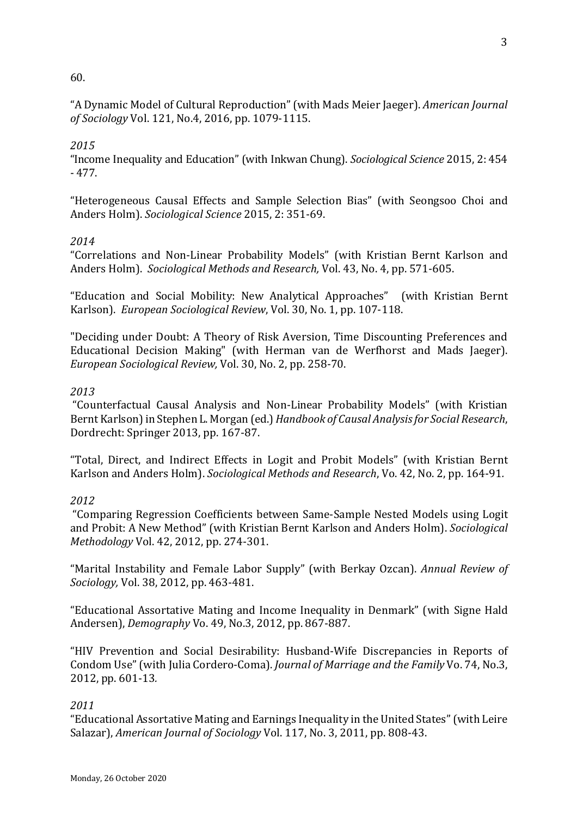## 60.

"A Dynamic Model of Cultural Reproduction" (with Mads Meier Jaeger). *American Journal of Sociology* Vol. 121, No.4, 2016, pp. 1079-1115.

## *2015*

"Income Inequality and Education" (with Inkwan Chung). *Sociological Science* 2015, 2: 454 - 477.

"Heterogeneous Causal Effects and Sample Selection Bias" (with Seongsoo Choi and Anders Holm). *Sociological Science* 2015, 2: 351-69.

## *2014*

"Correlations and Non-Linear Probability Models" (with Kristian Bernt Karlson and Anders Holm). *Sociological Methods and Research, Vol.* 43, No. 4, pp. 571-605.

"Education and Social Mobility: New Analytical Approaches" (with Kristian Bernt Karlson). *European Sociological Review*, Vol. 30, No. 1, pp. 107-118.

"Deciding under Doubt: A Theory of Risk Aversion, Time Discounting Preferences and Educational Decision Making" (with Herman van de Werfhorst and Mads Jaeger). *European Sociological Review,* Vol. 30, No. 2, pp. 258-70.

## *2013*

"Counterfactual Causal Analysis and Non-Linear Probability Models" (with Kristian Bernt Karlson) in Stephen L. Morgan (ed.) *Handbook of Causal Analysis for Social Research*, Dordrecht: Springer 2013, pp. 167-87.

"Total, Direct, and Indirect Effects in Logit and Probit Models" (with Kristian Bernt Karlson and Anders Holm). *Sociological Methods and Research*, Vo. 42, No. 2, pp. 164-91.

#### *2012*

"Comparing Regression Coefficients between Same-Sample Nested Models using Logit and Probit: A New Method" (with Kristian Bernt Karlson and Anders Holm). *Sociological Methodology* Vol. 42, 2012, pp. 274-301.

"Marital Instability and Female Labor Supply" (with Berkay Ozcan). *Annual Review of Sociology*, *Vol.* 38, 2012, pp. 463-481.

"Educational Assortative Mating and Income Inequality in Denmark" (with Signe Hald Andersen), *Demography* Vo. 49, No.3, 2012, pp. 867-887.

"HIV Prevention and Social Desirability: Husband-Wife Discrepancies in Reports of Condom Use" (with Julia Cordero-Coma). *Journal of Marriage and the Family* Vo. 74, No.3, 2012, pp. 601-13*.*

# *2011*

"Educational Assortative Mating and Earnings Inequality in the United States" (with Leire Salazar), *American Journal of Sociology* Vol. 117, No. 3, 2011, pp. 808-43.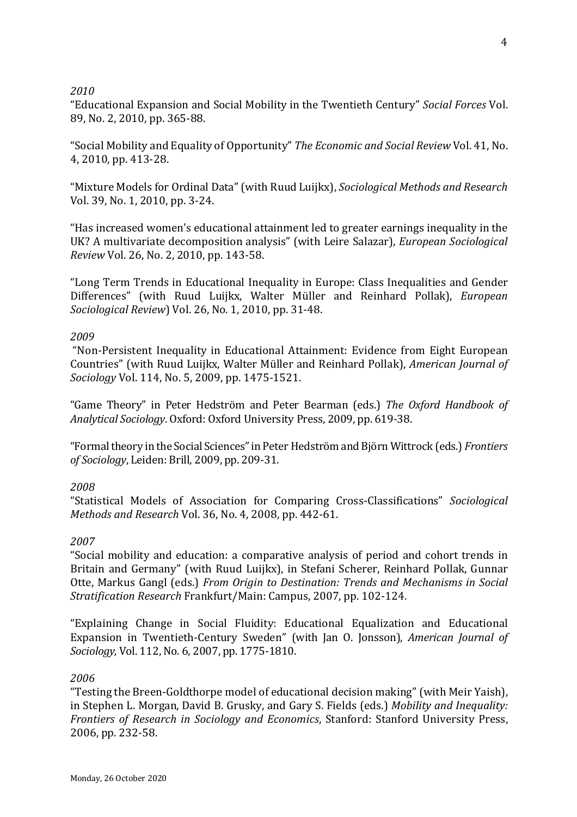# *2010*

"Educational Expansion and Social Mobility in the Twentieth Century" Social Forces Vol. 89, No. 2, 2010, pp. 365-88.

"Social Mobility and Equality of Opportunity" *The Economic and Social Review* Vol. 41, No. 4, 2010, pp. 413-28.

"Mixture Models for Ordinal Data" (with Ruud Luijkx), *Sociological Methods and Research* Vol. 39, No. 1, 2010, pp. 3-24.

"Has increased women's educational attainment led to greater earnings inequality in the UK? A multivariate decomposition analysis" (with Leire Salazar), *European Sociological Review Vol.* 26, No. 2, 2010, pp. 143-58.

"Long Term Trends in Educational Inequality in Europe: Class Inequalities and Gender Differences" (with Ruud Luijkx, Walter Müller and Reinhard Pollak), *European Sociological Review*) Vol. 26, No. 1, 2010, pp. 31-48.

## *2009*

"Non-Persistent Inequality in Educational Attainment: Evidence from Eight European Countries" (with Ruud Luijkx, Walter Müller and Reinhard Pollak), *American Journal of Sociology* Vol. 114, No. 5, 2009, pp. 1475-1521.

"Game Theory" in Peter Hedström and Peter Bearman (eds.) The Oxford Handbook of *Analytical Sociology*. Oxford: Oxford University Press, 2009, pp. 619-38.

"Formal theory in the Social Sciences" in Peter Hedström and Björn Wittrock (eds.) *Frontiers of Sociology*, Leiden: Brill, 2009, pp. 209-31.

# *2008*

"Statistical Models of Association for Comparing Cross-Classifications" *Sociological Methods and Research Vol.* 36, No. 4, 2008, pp. 442-61.

# *2007*

"Social mobility and education: a comparative analysis of period and cohort trends in Britain and Germany" (with Ruud Luijkx), in Stefani Scherer, Reinhard Pollak, Gunnar Otte, Markus Gangl (eds.) *From Origin to Destination: Trends and Mechanisms in Social Stratification Research Frankfurt/Main: Campus, 2007, pp. 102-124.* 

"Explaining Change in Social Fluidity: Educational Equalization and Educational Expansion in Twentieth-Century Sweden" (with Jan O. Jonsson), *American Journal of Sociology, Vol.* 112, No. 6, 2007, pp. 1775-1810.

#### *2006*

"Testing the Breen-Goldthorpe model of educational decision making" (with Meir Yaish), in Stephen L. Morgan, David B. Grusky, and Gary S. Fields (eds.) *Mobility and Inequality: Frontiers of Research in Sociology and Economics, Stanford: Stanford University Press,* 2006, pp. 232-58.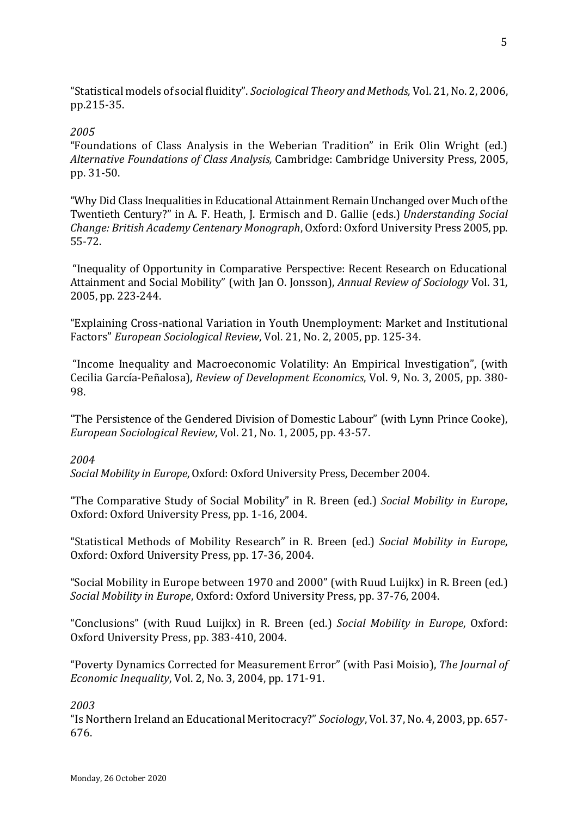"Statistical models of social fluidity". *Sociological Theory and Methods*, Vol. 21, No. 2, 2006, pp.215-35.

## *2005*

"Foundations of Class Analysis in the Weberian Tradition" in Erik Olin Wright (ed.) Alternative Foundations of Class Analysis, Cambridge: Cambridge University Press, 2005, pp. 31-50. 

"Why Did Class Inequalities in Educational Attainment Remain Unchanged over Much of the Twentieth Century?" in A. F. Heath, J. Ermisch and D. Gallie (eds.) *Understanding Social Change: British Academy Centenary Monograph*, Oxford: Oxford University Press 2005, pp. 55-72.

"Inequality of Opportunity in Comparative Perspective: Recent Research on Educational Attainment and Social Mobility" (with Jan O. Jonsson), *Annual Review of Sociology* Vol. 31, 2005, pp. 223-244.

"Explaining Cross-national Variation in Youth Unemployment: Market and Institutional Factors" *European Sociological Review*, Vol. 21, No. 2, 2005, pp. 125-34.

"Income Inequality and Macroeconomic Volatility: An Empirical Investigation", (with Cecilia García-Peñalosa), *Review of Development Economics*, Vol. 9, No. 3, 2005, pp. 380-98.

"The Persistence of the Gendered Division of Domestic Labour" (with Lynn Prince Cooke), *European Sociological Review*, Vol. 21, No. 1, 2005, pp. 43-57.

# *2004*

*Social Mobility in Europe, Oxford: Oxford University Press, December 2004.* 

"The Comparative Study of Social Mobility" in R. Breen (ed.) Social Mobility in Europe, Oxford: Oxford University Press, pp. 1-16, 2004.

"Statistical Methods of Mobility Research" in R. Breen (ed.) *Social Mobility in Europe*, Oxford: Oxford University Press, pp. 17-36, 2004.

"Social Mobility in Europe between 1970 and 2000" (with Ruud Luijkx) in R. Breen (ed.) *Social Mobility in Europe*, Oxford: Oxford University Press, pp. 37-76, 2004.

"Conclusions" (with Ruud Luijkx) in R. Breen (ed.) *Social Mobility in Europe*, Oxford: Oxford University Press, pp. 383-410, 2004.

"Poverty Dynamics Corrected for Measurement Error" (with Pasi Moisio), The Journal of *Economic Inequality*, *Vol.* 2, *No.* 3, 2004, pp. 171-91.

# *2003*

"Is Northern Ireland an Educational Meritocracy?" Sociology, Vol. 37, No. 4, 2003, pp. 657-676.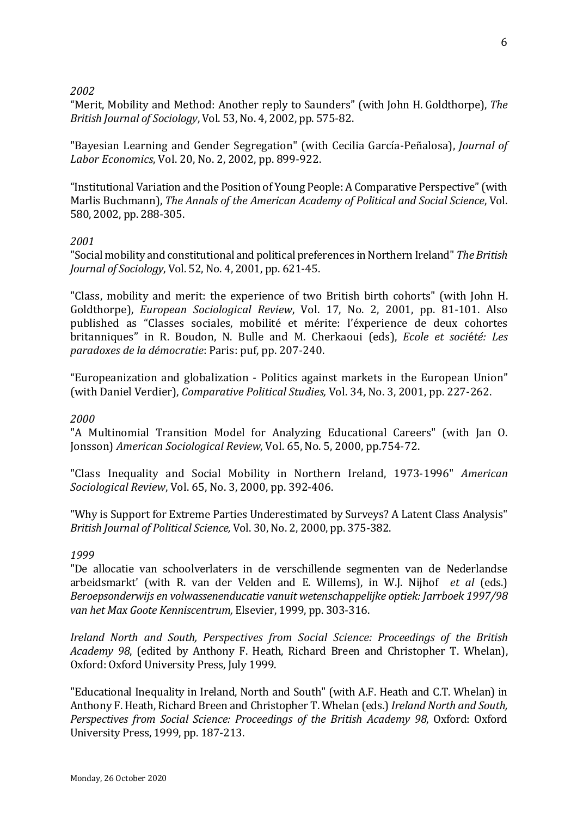## *2002*

"Merit, Mobility and Method: Another reply to Saunders" (with John H. Goldthorpe), The *British Journal of Sociology, Vol.* 53, No. 4, 2002, pp. 575-82.

"Bayesian Learning and Gender Segregation" (with Cecilia García-Peñalosa), *Journal of Labor Economics*, Vol. 20, No. 2, 2002, pp. 899-922.

"Institutional Variation and the Position of Young People: A Comparative Perspective" (with Marlis Buchmann), *The Annals of the American Academy of Political and Social Science*, Vol. 580, 2002, pp. 288-305.

# *2001*

"Social mobility and constitutional and political preferences in Northern Ireland" *The British Journal of Sociology*, Vol. 52, No. 4, 2001, pp. 621-45.

"Class, mobility and merit: the experience of two British birth cohorts" (with John H. Goldthorpe), *European Sociological Review*, Vol. 17, No. 2, 2001, pp. 81-101. Also published as "Classes sociales, mobilité et mérite: l'éxperience de deux cohortes britanniques" in R. Boudon, N. Bulle and M. Cherkaoui (eds), *Ecole et société: Les paradoxes de la démocratie*: Paris: puf, pp. 207-240.

"Europeanization and globalization - Politics against markets in the European Union" (with Daniel Verdier), *Comparative Political Studies*, Vol. 34, No. 3, 2001, pp. 227-262.

#### *2000*

"A Multinomial Transition Model for Analyzing Educational Careers" (with Jan O. Jonsson) American Sociological Review, Vol. 65, No. 5, 2000, pp.754-72.

"Class Inequality and Social Mobility in Northern Ireland, 1973-1996" *American Sociological Review*, Vol. 65, No. 3, 2000, pp. 392-406.

"Why is Support for Extreme Parties Underestimated by Surveys? A Latent Class Analysis" *British Journal of Political Science,* Vol. 30, No. 2, 2000, pp. 375-382.

#### *1999*

"De allocatie van schoolverlaters in de verschillende segmenten van de Nederlandse arbeidsmarkt' (with R. van der Velden and E. Willems), in W.J. Nijhof *et al* (eds.) Beroepsonderwijs en volwassenenducatie vanuit wetenschappelijke optiek: Jarrboek 1997/98 van het Max Goote Kenniscentrum, Elsevier, 1999, pp. 303-316.

*Ireland North and South, Perspectives from Social Science: Proceedings of the British Academy* 98, (edited by Anthony F. Heath, Richard Breen and Christopher T. Whelan), Oxford: Oxford University Press, July 1999.

"Educational Inequality in Ireland, North and South" (with A.F. Heath and C.T. Whelan) in Anthony F. Heath, Richard Breen and Christopher T. Whelan (eds.) *Ireland North and South*, *Perspectives from Social Science: Proceedings of the British Academy 98, Oxford: Oxford* University Press, 1999, pp. 187-213.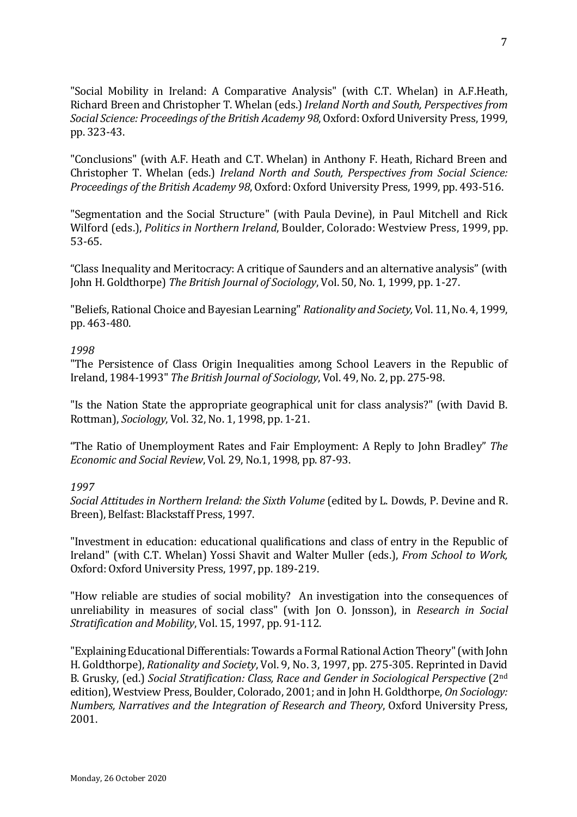"Social Mobility in Ireland: A Comparative Analysis" (with C.T. Whelan) in A.F.Heath, Richard Breen and Christopher T. Whelan (eds.) *Ireland North and South, Perspectives from Social Science: Proceedings of the British Academy 98, Oxford: Oxford University Press, 1999,* pp. 323-43.

"Conclusions" (with A.F. Heath and C.T. Whelan) in Anthony F. Heath, Richard Breen and Christopher T. Whelan (eds.) *Ireland North and South, Perspectives from Social Science: Proceedings of the British Academy 98, Oxford: Oxford University Press, 1999, pp. 493-516.* 

"Segmentation and the Social Structure" (with Paula Devine), in Paul Mitchell and Rick Wilford (eds.), *Politics in Northern Ireland*, Boulder, Colorado: Westview Press, 1999, pp. 53-65.

"Class Inequality and Meritocracy: A critique of Saunders and an alternative analysis" (with John H. Goldthorpe) *The British Journal of Sociology*, Vol. 50, No. 1, 1999, pp. 1-27.

"Beliefs, Rational Choice and Bayesian Learning" *Rationality and Society*, Vol. 11, No. 4, 1999, pp. 463-480.

#### *1998*

"The Persistence of Class Origin Inequalities among School Leavers in the Republic of Ireland, 1984-1993" *The British Journal of Sociology*, Vol. 49, No. 2, pp. 275-98.

"Is the Nation State the appropriate geographical unit for class analysis?" (with David B. Rottman), *Sociology*, Vol. 32, No. 1, 1998, pp. 1-21.

"The Ratio of Unemployment Rates and Fair Employment: A Reply to John Bradley" *The Economic and Social Review.* Vol. 29, No.1, 1998, pp. 87-93.

#### *1997*

Social Attitudes in Northern Ireland: the Sixth Volume (edited by L. Dowds, P. Devine and R. Breen), Belfast: Blackstaff Press, 1997.

"Investment in education: educational qualifications and class of entry in the Republic of Ireland" (with C.T. Whelan) Yossi Shavit and Walter Muller (eds.), *From School to Work*, Oxford: Oxford University Press, 1997, pp. 189-219.

"How reliable are studies of social mobility? An investigation into the consequences of unreliability in measures of social class" (with Jon O. Jonsson), in *Research in Social Stratification and Mobility*, Vol. 15, 1997, pp. 91-112.

"Explaining Educational Differentials: Towards a Formal Rational Action Theory" (with John H. Goldthorpe), *Rationality and Society*, Vol. 9, No. 3, 1997, pp. 275-305. Reprinted in David B. Grusky, (ed.) *Social Stratification: Class, Race and Gender in Sociological Perspective* (2<sup>nd</sup> edition), Westview Press, Boulder, Colorado, 2001; and in John H. Goldthorpe, On Sociology: *Numbers, Narratives and the Integration of Research and Theory, Oxford University Press,* 2001.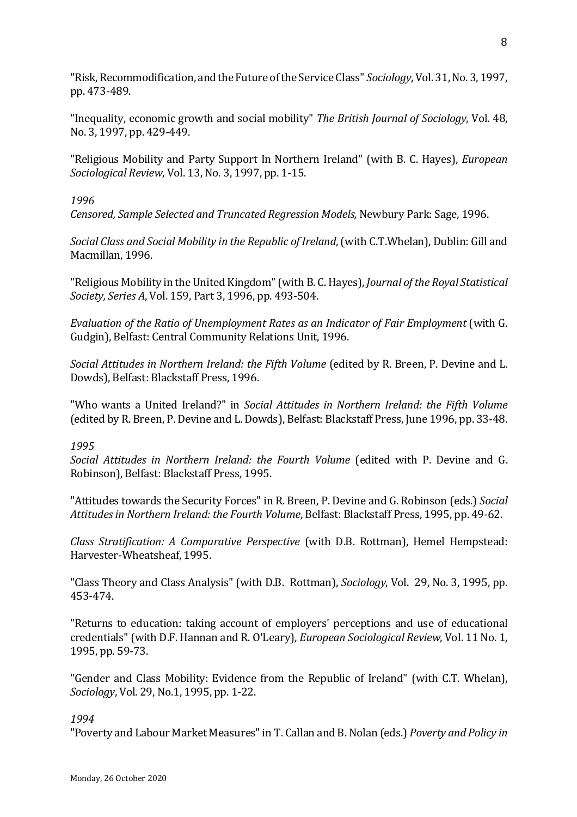"Risk, Recommodification, and the Future of the Service Class" *Sociology*, Vol. 31, No. 3, 1997, pp. 473-489.

"Inequality, economic growth and social mobility" *The British Journal of Sociology*, Vol. 48, No. 3, 1997, pp. 429-449.

"Religious Mobility and Party Support In Northern Ireland" (with B. C. Hayes), *European Sociological Review, Vol.* 13, No. 3, 1997, pp. 1-15.

### *1996*

*Censored, Sample Selected and Truncated Regression Models, Newbury Park: Sage, 1996.* 

*Social Class and Social Mobility in the Republic of Ireland*, (with C.T.Whelan), Dublin: Gill and Macmillan, 1996.

"Religious Mobility in the United Kingdom" (with B. C. Hayes), *Journal of the Royal Statistical Society, Series A, Vol.* 159, Part 3, 1996, pp. 493-504.

*Evaluation of the Ratio of Unemployment Rates as an Indicator of Fair Employment* (with G. Gudgin), Belfast: Central Community Relations Unit, 1996.

*Social Attitudes in Northern Ireland: the Fifth Volume* (edited by R. Breen, P. Devine and L. Dowds), Belfast: Blackstaff Press, 1996.

"Who wants a United Ireland?" in *Social Attitudes in Northern Ireland: the Fifth Volume* (edited by R. Breen, P. Devine and L. Dowds), Belfast: Blackstaff Press, June 1996, pp. 33-48.

# *1995*

*Social Attitudes in Northern Ireland: the Fourth Volume* (edited with P. Devine and G. Robinson), Belfast: Blackstaff Press, 1995.

"Attitudes towards the Security Forces" in R. Breen, P. Devine and G. Robinson (eds.) *Social Attitudes in Northern Ireland: the Fourth Volume, Belfast: Blackstaff Press, 1995, pp. 49-62.* 

*Class Stratification: A Comparative Perspective* (with D.B. Rottman), Hemel Hempstead: Harvester-Wheatsheaf, 1995.

"Class Theory and Class Analysis" (with D.B. Rottman), *Sociology*, Vol. 29, No. 3, 1995, pp. 453-474.

"Returns to education: taking account of employers' perceptions and use of educational credentials" (with D.F. Hannan and R. O'Leary), *European Sociological Review*, Vol. 11 No. 1, 1995, pp. 59-73.

"Gender and Class Mobility: Evidence from the Republic of Ireland" (with C.T. Whelan), *Sociology*, Vol. 29, No.1, 1995, pp. 1-22.

#### *1994*

"Poverty and Labour Market Measures" in T. Callan and B. Nolan (eds.) *Poverty and Policy in*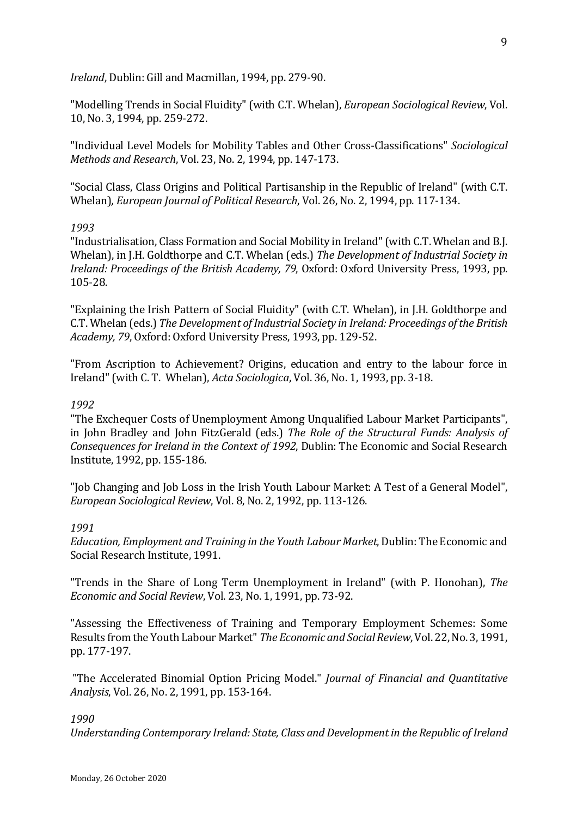*Ireland*, Dublin: Gill and Macmillan, 1994, pp. 279-90.

"Modelling Trends in Social Fluidity" (with C.T. Whelan), *European Sociological Review*, Vol. 10, No. 3, 1994, pp. 259-272.

"Individual Level Models for Mobility Tables and Other Cross-Classifications" *Sociological Methods and Research, Vol. 23, No. 2, 1994, pp. 147-173.* 

"Social Class, Class Origins and Political Partisanship in the Republic of Ireland" (with C.T. Whelan), *European Journal of Political Research*, Vol. 26, No. 2, 1994, pp. 117-134.

#### *1993*

"Industrialisation, Class Formation and Social Mobility in Ireland" (with C.T. Whelan and B.J. Whelan), in J.H. Goldthorpe and C.T. Whelan (eds.) *The Development of Industrial Society in Ireland: Proceedings of the British Academy, 79, Oxford: Oxford University Press, 1993, pp.* 105-28.

"Explaining the Irish Pattern of Social Fluidity" (with C.T. Whelan), in J.H. Goldthorpe and C.T. Whelan (eds.) *The Development of Industrial Society in Ireland: Proceedings of the British Academy, 79, Oxford: Oxford University Press, 1993, pp. 129-52.* 

"From Ascription to Achievement? Origins, education and entry to the labour force in Ireland" (with C. T. Whelan), *Acta Sociologica*, Vol. 36, No. 1, 1993, pp. 3-18.

#### *1992*

"The Exchequer Costs of Unemployment Among Unqualified Labour Market Participants", in John Bradley and John FitzGerald (eds.) *The Role of the Structural Funds: Analysis of Consequences for Ireland in the Context of 1992*, Dublin: The Economic and Social Research Institute, 1992, pp. 155-186.

"Job Changing and Job Loss in the Irish Youth Labour Market: A Test of a General Model", *European Sociological Review*, Vol. 8, No. 2, 1992, pp. 113-126.

#### *1991*

*Education, Employment and Training in the Youth Labour Market, Dublin: The Economic and* Social Research Institute, 1991.

"Trends in the Share of Long Term Unemployment in Ireland" (with P. Honohan), *The Economic and Social Review, Vol.* 23, No. 1, 1991, pp. 73-92.

"Assessing the Effectiveness of Training and Temporary Employment Schemes: Some Results from the Youth Labour Market" The Economic and Social Review, Vol. 22, No. 3, 1991, pp. 177-197.

"The Accelerated Binomial Option Pricing Model." *Journal of Financial and Quantitative Analysis*, *Vol.* 26, *No.* 2, 1991, pp. 153-164.

#### *1990*

Understanding Contemporary Ireland: State, Class and Development in the Republic of Ireland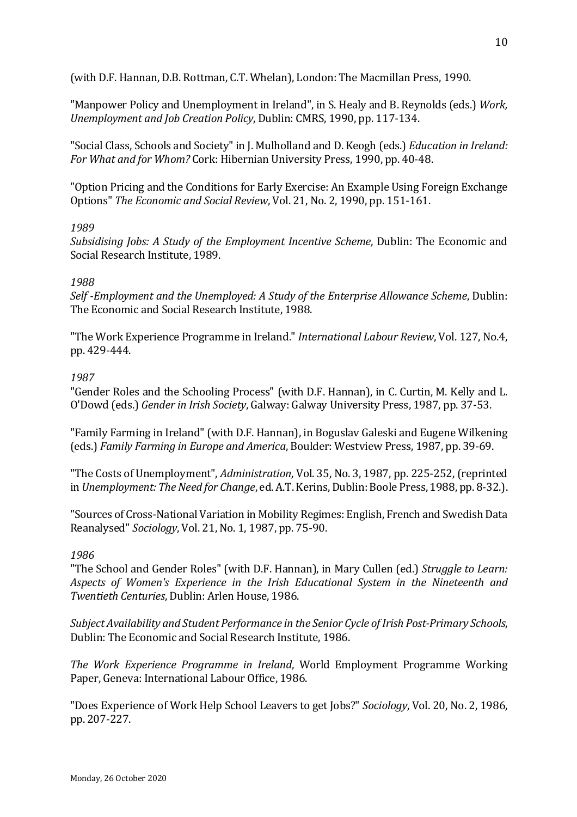(with D.F. Hannan, D.B. Rottman, C.T. Whelan), London: The Macmillan Press, 1990.

"Manpower Policy and Unemployment in Ireland", in S. Healy and B. Reynolds (eds.) *Work*, *Unemployment and Job Creation Policy*, Dublin: CMRS, 1990, pp. 117-134.

"Social Class, Schools and Society" in J. Mulholland and D. Keogh (eds.) *Education in Ireland: For What and for Whom?* Cork: Hibernian University Press, 1990, pp. 40-48.

"Option Pricing and the Conditions for Early Exercise: An Example Using Foreign Exchange Options" *The Economic and Social Review*, Vol. 21, No. 2, 1990, pp. 151-161.

## *1989*

*Subsidising Jobs: A Study of the Employment Incentive Scheme, Dublin: The Economic and* Social Research Institute, 1989.

## *1988*

*Self* -*Employment and the Unemployed: A Study of the Enterprise Allowance Scheme*, Dublin: The Economic and Social Research Institute, 1988.

"The Work Experience Programme in Ireland." *International Labour Review*, Vol. 127, No.4, pp. 429-444.

## *1987*

"Gender Roles and the Schooling Process" (with D.F. Hannan), in C. Curtin, M. Kelly and L. O'Dowd (eds.) *Gender in Irish Society*, Galway: Galway University Press, 1987, pp. 37-53.

"Family Farming in Ireland" (with D.F. Hannan), in Boguslav Galeski and Eugene Wilkening (eds.) *Family Farming in Europe and America*, Boulder: Westview Press, 1987, pp. 39-69.

"The Costs of Unemployment", *Administration*, Vol. 35, No. 3, 1987, pp. 225-252, (reprinted in *Unemployment: The Need for Change*, ed. A.T. Kerins, Dublin: Boole Press, 1988, pp. 8-32.).

"Sources of Cross-National Variation in Mobility Regimes: English, French and Swedish Data Reanalysed" *Sociology*, Vol. 21, No. 1, 1987, pp. 75-90.

#### *1986*

"The School and Gender Roles" (with D.F. Hannan), in Mary Cullen (ed.) *Struggle to Learn:* Aspects of Women's Experience in the Irish Educational System in the Nineteenth and *Twentieth Centuries*, Dublin: Arlen House, 1986.

Subject Availability and Student Performance in the Senior Cycle of Irish Post-Primary Schools, Dublin: The Economic and Social Research Institute, 1986.

The Work Experience Programme in Ireland, World Employment Programme Working Paper, Geneva: International Labour Office, 1986.

"Does Experience of Work Help School Leavers to get Jobs?" *Sociology*, Vol. 20, No. 2, 1986, pp. 207-227.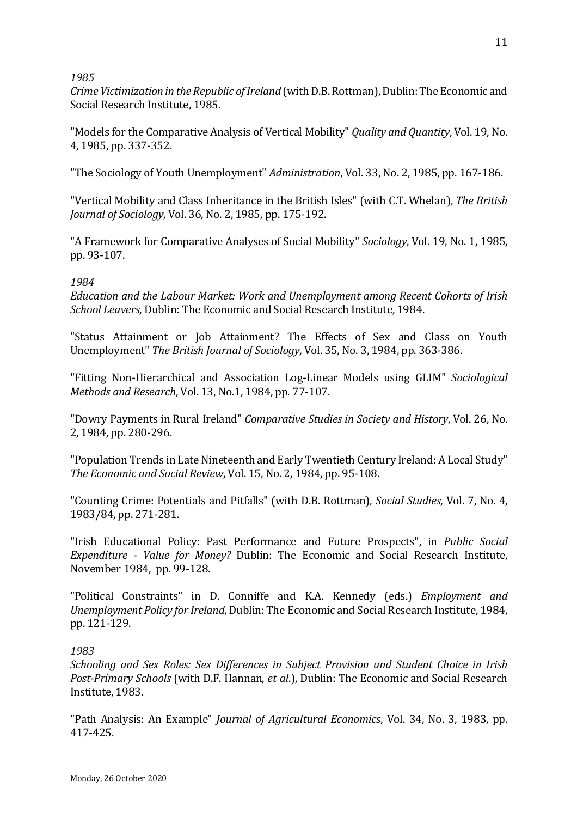## *1985*

*Crime Victimization in the Republic of Ireland* (with D.B. Rottman), Dublin: The Economic and Social Research Institute, 1985.

"Models for the Comparative Analysis of Vertical Mobility" *Quality and Quantity*, Vol. 19, No. 4, 1985, pp. 337-352.

"The Sociology of Youth Unemployment" *Administration*, Vol. 33, No. 2, 1985, pp. 167-186.

"Vertical Mobility and Class Inheritance in the British Isles" (with C.T. Whelan), *The British Journal of Sociology, Vol.* 36, No. 2, 1985, pp. 175-192.

"A Framework for Comparative Analyses of Social Mobility" *Sociology*, Vol. 19, No. 1, 1985, pp. 93-107.

# *1984*

*Education and the Labour Market: Work and Unemployment among Recent Cohorts of Irish School Leavers*, Dublin: The Economic and Social Research Institute, 1984.

"Status Attainment or Job Attainment? The Effects of Sex and Class on Youth Unemployment" *The British Journal of Sociology*, Vol. 35, No. 3, 1984, pp. 363-386.

"Fitting Non-Hierarchical and Association Log-Linear Models using GLIM" *Sociological Methods and Research, Vol.* 13, No.1, 1984, pp. 77-107.

"Dowry Payments in Rural Ireland" *Comparative Studies in Society and History*, Vol. 26, No. 2, 1984, pp. 280-296.

"Population Trends in Late Nineteenth and Early Twentieth Century Ireland: A Local Study" *The Economic and Social Review, Vol.* 15, No. 2, 1984, pp. 95-108.

"Counting Crime: Potentials and Pitfalls" (with D.B. Rottman), *Social Studies*, Vol. 7, No. 4, 1983/84, pp. 271-281.

"Irish Educational Policy: Past Performance and Future Prospects", in Public Social *Expenditure - Value for Money?* Dublin: The Economic and Social Research Institute, November 1984, pp. 99-128.

"Political Constraints" in D. Conniffe and K.A. Kennedy (eds.) *Employment and Unemployment Policy for Ireland*, Dublin: The Economic and Social Research Institute, 1984, pp. 121-129.

# *1983*

*Schooling and Sex Roles: Sex Differences in Subject Provision and Student Choice in Irish Post-Primary Schools* (with D.F. Hannan, *et al.*), Dublin: The Economic and Social Research Institute, 1983.

"Path Analysis: An Example" *Journal of Agricultural Economics*, Vol. 34, No. 3, 1983, pp. 417-425.